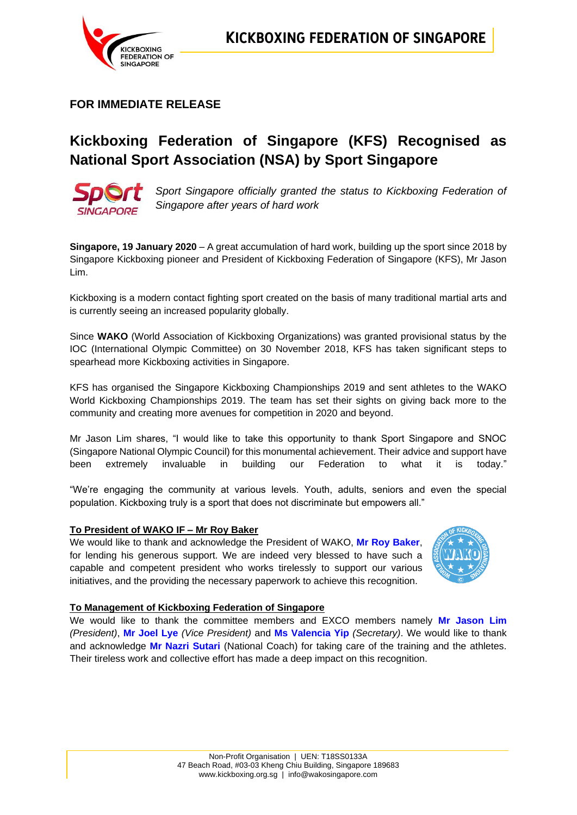

**FOR IMMEDIATE RELEASE**

# **Kickboxing Federation of Singapore (KFS) Recognised as National Sport Association (NSA) by Sport Singapore**



*Sport Singapore officially granted the status to Kickboxing Federation of Singapore after years of hard work*

**Singapore, 19 January 2020** – A great accumulation of hard work, building up the sport since 2018 by Singapore Kickboxing pioneer and President of Kickboxing Federation of Singapore (KFS), Mr Jason Lim.

Kickboxing is a modern contact fighting sport created on the basis of many traditional martial arts and is currently seeing an increased popularity globally.

Since **WAKO** (World Association of Kickboxing Organizations) was granted provisional status by the IOC (International Olympic Committee) on 30 November 2018, KFS has taken significant steps to spearhead more Kickboxing activities in Singapore.

KFS has organised the Singapore Kickboxing Championships 2019 and sent athletes to the WAKO World Kickboxing Championships 2019. The team has set their sights on giving back more to the community and creating more avenues for competition in 2020 and beyond.

Mr Jason Lim shares, "I would like to take this opportunity to thank Sport Singapore and SNOC (Singapore National Olympic Council) for this monumental achievement. Their advice and support have been extremely invaluable in building our Federation to what it is today."

"We're engaging the community at various levels. Youth, adults, seniors and even the special population. Kickboxing truly is a sport that does not discriminate but empowers all."

### **To President of WAKO IF – Mr Roy Baker**

We would like to thank and acknowledge the President of WAKO, **Mr Roy Baker**, for lending his generous support. We are indeed very blessed to have such a capable and competent president who works tirelessly to support our various initiatives, and the providing the necessary paperwork to achieve this recognition.



### **To Management of Kickboxing Federation of Singapore**

We would like to thank the committee members and EXCO members namely **Mr Jason Lim** *(President)*, **Mr Joel Lye** *(Vice President)* and **Ms Valencia Yip** *(Secretary)*. We would like to thank and acknowledge **Mr Nazri Sutari** (National Coach) for taking care of the training and the athletes. Their tireless work and collective effort has made a deep impact on this recognition.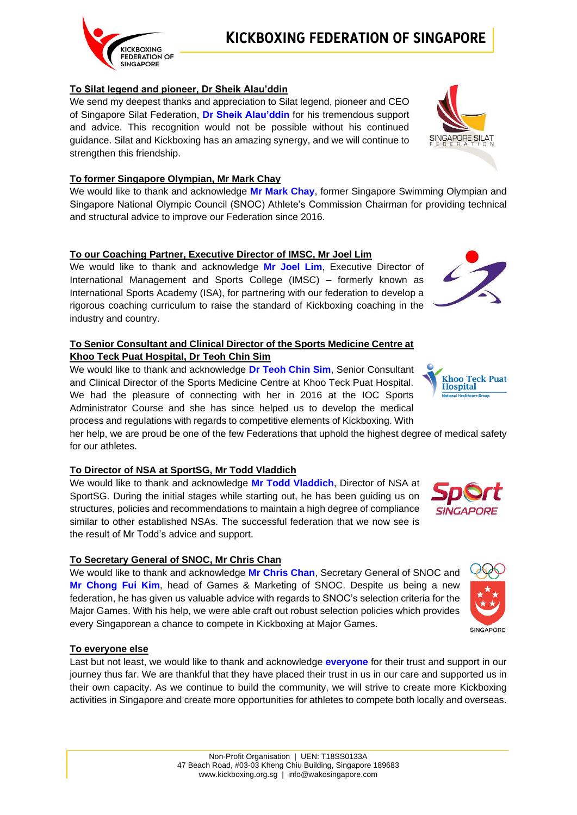# **To Silat legend and pioneer, Dr Sheik Alau'ddin**

We send my deepest thanks and appreciation to Silat legend, pioneer and CEO of Singapore Silat Federation, **Dr Sheik Alau'ddin** for his tremendous support and advice. This recognition would not be possible without his continued guidance. Silat and Kickboxing has an amazing synergy, and we will continue to strengthen this friendship.

## **To former Singapore Olympian, Mr Mark Chay**

We would like to thank and acknowledge **Mr Mark Chay**, former Singapore Swimming Olympian and Singapore National Olympic Council (SNOC) Athlete's Commission Chairman for providing technical and structural advice to improve our Federation since 2016.

## **To our Coaching Partner, Executive Director of IMSC, Mr Joel Lim**

We would like to thank and acknowledge **Mr Joel Lim**, Executive Director of International Management and Sports College (IMSC) – formerly known as International Sports Academy (ISA), for partnering with our federation to develop a rigorous coaching curriculum to raise the standard of Kickboxing coaching in the industry and country.

### **To Senior Consultant and Clinical Director of the Sports Medicine Centre at Khoo Teck Puat Hospital, Dr Teoh Chin Sim**

We would like to thank and acknowledge **Dr Teoh Chin Sim**, Senior Consultant and Clinical Director of the Sports Medicine Centre at Khoo Teck Puat Hospital. We had the pleasure of connecting with her in 2016 at the IOC Sports Administrator Course and she has since helped us to develop the medical process and regulations with regards to competitive elements of Kickboxing. With

her help, we are proud be one of the few Federations that uphold the highest degree of medical safety for our athletes.

### **To Director of NSA at SportSG, Mr Todd Vladdich**

We would like to thank and acknowledge **Mr Todd Vladdich**, Director of NSA at SportSG. During the initial stages while starting out, he has been guiding us on structures, policies and recommendations to maintain a high degree of compliance similar to other established NSAs. The successful federation that we now see is the result of Mr Todd's advice and support.

# **To Secretary General of SNOC, Mr Chris Chan**

We would like to thank and acknowledge **Mr Chris Chan**, Secretary General of SNOC and **Mr Chong Fui Kim**, head of Games & Marketing of SNOC. Despite us being a new federation, he has given us valuable advice with regards to SNOC's selection criteria for the Major Games. With his help, we were able craft out robust selection policies which provides every Singaporean a chance to compete in Kickboxing at Major Games.

### **To everyone else**

Last but not least, we would like to thank and acknowledge **everyone** for their trust and support in our journey thus far. We are thankful that they have placed their trust in us in our care and supported us in their own capacity. As we continue to build the community, we will strive to create more Kickboxing activities in Singapore and create more opportunities for athletes to compete both locally and overseas.







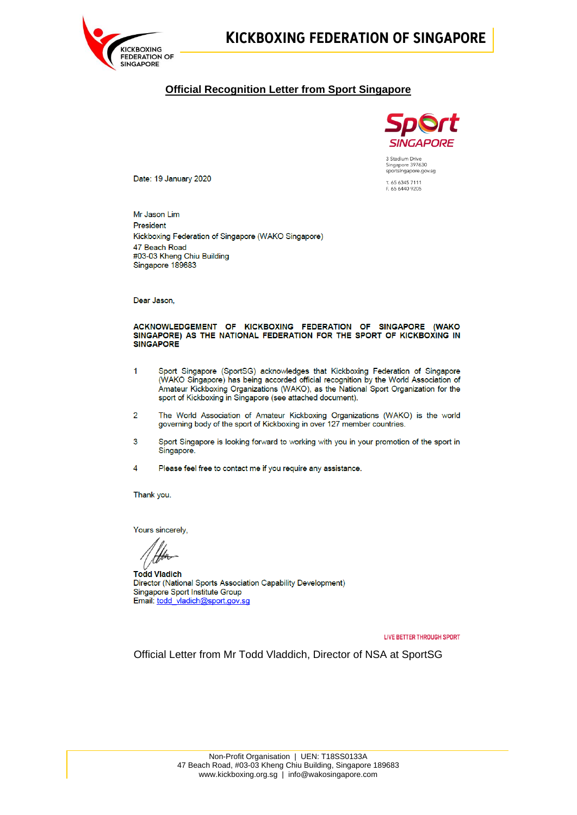

# **KICKBOXING FEDERATION OF SINGAPORE**

### **Official Recognition Letter from Sport Singapore**



3 Stadium Drive<br>Singapore 397630<br>sportsingapore.gov.sg T. 65 6345 7111<br>F. 65 6440 9205

Date: 19 January 2020

Mr Jason Lim President Kickboxing Federation of Singapore (WAKO Singapore) 47 Beach Road #03-03 Kheng Chiu Building Singapore 189683

Dear Jason.

#### ACKNOWLEDGEMENT OF KICKBOXING FEDERATION OF SINGAPORE (WAKO SINGAPORE) AS THE NATIONAL FEDERATION FOR THE SPORT OF KICKBOXING IN **SINGAPORE**

- $\overline{1}$ Sport Singapore (SportSG) acknowledges that Kickboxing Federation of Singapore (WAKO Singapore) has being accorded official recognition by the World Association of Amateur Kickboxing Organizations (WAKO), as the National Sport Organization for the sport of Kickboxing in Singapore (see attached document).
- $\overline{2}$ The World Association of Amateur Kickboxing Organizations (WAKO) is the world governing body of the sport of Kickboxing in over 127 member countries.
- $\overline{3}$ Sport Singapore is looking forward to working with you in your promotion of the sport in Singapore.
- $\overline{4}$ Please feel free to contact me if you require any assistance.

Thank you.

Yours sincerely,

**Todd Vladich** Director (National Sports Association Capability Development) Singapore Sport Institute Group Email: todd\_vladich@sport.gov.sq

LIVE BETTER THROUGH SPORT

Official Letter from Mr Todd Vladdich, Director of NSA at SportSG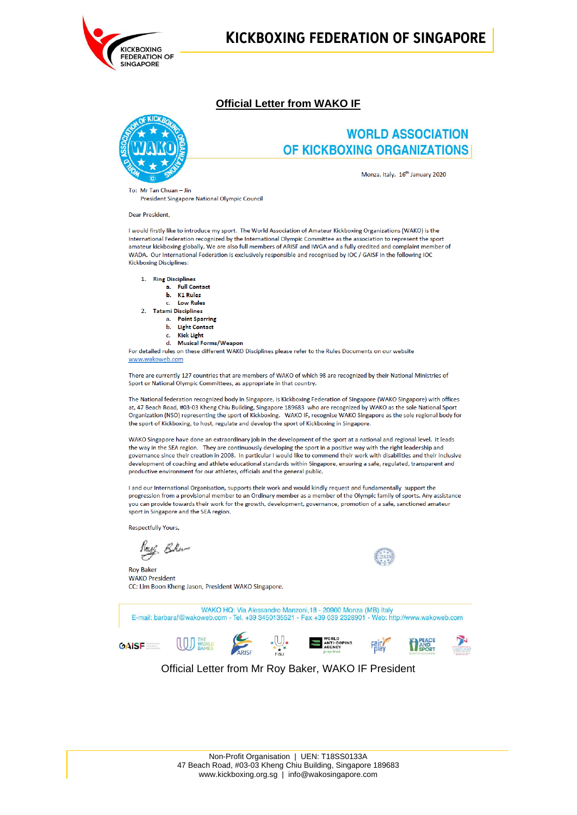

# **KICKBOXING FEDERATION OF SINGAPORE**

### **Official Letter from WAKO IF**



# **WORLD ASSOCIATION** OF KICKBOXING ORGANIZATIONS

Monza, Italy. 16<sup>th</sup> January 2020

To: Mr Tan Chuan - Jin President Singapore National Olympic Council

**Dear President** 

I would firstly like to introduce my sport. The World Association of Amateur Kickboxing Organizations (WAKO) is the International Federation recognized by the International Olympic Committee as the association to represent the sport amateur kickboxing globally. We are also full members of ARISF and IWGA and a fully credited and complaint member of WADA. Our International Federation is exclusively responsible and recognised by IOC / GAISF in the following IOC **Kickboxing Disciplines:** 

1. Ring Disciplines

- a Full Contact
	- **b** K1 Rules
- c. Low Rules
- 2. Tatami Disciplines a. Point Sparring
	- b. Light Contact
	- c. Kick Light
	- d. Musical Forms/Weapon

For detailed rules on these different WAKO Disciplines please refer to the Rules Documents on our website www.wakoweb.com

There are currently 127 countries that are members of WAKO of which 98 are recognized by their National Ministries of Sport or National Olympic Committees, as appropriate in that country.

The National federation recognized body in Singapore, is Kickboxing Federation of Singapore (WAKO Singapore) with offices at, 47 Beach Road, #03-03 Kheng Chiu Building, Singapore 189683 who are recognized by WAKO as the sole National Sport Organization (NSO) representing the sport of Kickboxing. WAKO IF, recognise WAKO Singapore as the sole regional body for the sport of Kickboxing, to host, regulate and develop the sport of Kickboxing in Singapore.

WAKO Singapore have done an extraordinary job in the development of the sport at a national and regional level. It leads the way in the SEA region. They are continuously developing the sport in a positive way with the right leadership and governance since their creation in 2008. In particular I would like to commend their work with disabilities and their inclusive development of coaching and athlete educational standards within Singapore, ensuring a safe, regulated, transparent and productive environment for our athletes, officials and the general public.

I and our International Organisation, supports their work and would kindly request and fundamentally support the progression from a provisional member to an Ordinary member as a member of the Olympic family of sports. Any assistance you can provide towards their work for the growth, development, governance, promotion of a safe, sanctioned amateur sport in Singapore and the SEA region.

Respectfully Yours,

Hay Blu-

**Rov Baker WAKO President** CC: Lim Boon Kheng Jason, President WAKO Singapore.

WAKO HQ: Via Alessandro Manzoni, 18 - 20900 Monza (MB) Italy E-mail: barbaraf@wakoweb.com - Tel. +39 3450135521 - Fax +39 039 2328901 - Web: http://www.wakoweb.com ARISE  $\begin{array}{c}\n\ast \bigcup_{\begin{subarray}{c}\star \\\star \\ \text{if} \end{subarray}}\n\ast\n\end{array}$ WORLD<br>ANTI-DOPING<br>AGENCY  $\left(\begin{matrix} 1 & 0 \end{matrix}\right)$  world PEACE<br>AND<br>COOPT FRICK **GAISF** 

Official Letter from Mr Rov Baker, WAKO IF President